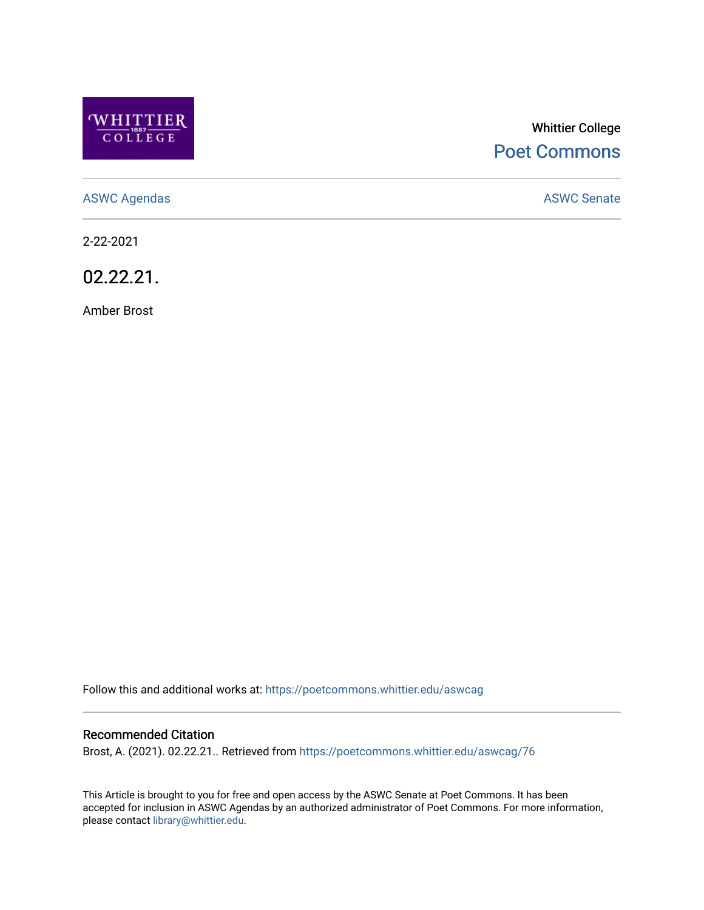

# Whittier College [Poet Commons](https://poetcommons.whittier.edu/)

[ASWC Agendas](https://poetcommons.whittier.edu/aswcag) **ASWC Senate** 

2-22-2021

02.22.21.

Amber Brost

Follow this and additional works at: [https://poetcommons.whittier.edu/aswcag](https://poetcommons.whittier.edu/aswcag?utm_source=poetcommons.whittier.edu%2Faswcag%2F76&utm_medium=PDF&utm_campaign=PDFCoverPages) 

# Recommended Citation

Brost, A. (2021). 02.22.21.. Retrieved from [https://poetcommons.whittier.edu/aswcag/76](https://poetcommons.whittier.edu/aswcag/76?utm_source=poetcommons.whittier.edu%2Faswcag%2F76&utm_medium=PDF&utm_campaign=PDFCoverPages) 

This Article is brought to you for free and open access by the ASWC Senate at Poet Commons. It has been accepted for inclusion in ASWC Agendas by an authorized administrator of Poet Commons. For more information, please contact [library@whittier.edu](mailto:library@whittier.edu).